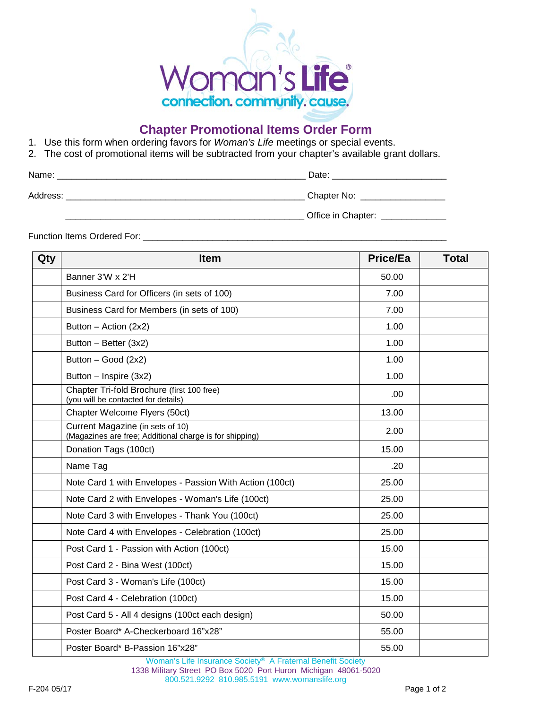

## **Chapter Promotional Items Order Form**

- 1. Use this form when ordering favors for *Woman's Life* meetings or special events.
- 2. The cost of promotional items will be subtracted from your chapter's available grant dollars.

| Name:    | Date:              |
|----------|--------------------|
| Address: | Chapter No:        |
|          | Office in Chapter: |

Function Items Ordered For: \_\_\_\_\_\_\_\_\_\_\_\_\_\_\_\_\_\_\_\_\_\_\_\_\_\_\_\_\_\_\_\_\_\_\_\_\_\_\_\_\_\_\_\_\_\_\_\_\_\_\_\_\_\_\_\_\_\_\_\_\_

| Qty | <b>Item</b>                                                                                 | <b>Price/Ea</b> | <b>Total</b> |
|-----|---------------------------------------------------------------------------------------------|-----------------|--------------|
|     | Banner 3'W x 2'H                                                                            | 50.00           |              |
|     | Business Card for Officers (in sets of 100)                                                 | 7.00            |              |
|     | Business Card for Members (in sets of 100)                                                  | 7.00            |              |
|     | Button $-$ Action (2x2)                                                                     | 1.00            |              |
|     | Button - Better (3x2)                                                                       | 1.00            |              |
|     | Button - Good (2x2)                                                                         | 1.00            |              |
|     | Button - Inspire (3x2)                                                                      | 1.00            |              |
|     | Chapter Tri-fold Brochure (first 100 free)<br>(you will be contacted for details)           | .00             |              |
|     | Chapter Welcome Flyers (50ct)                                                               | 13.00           |              |
|     | Current Magazine (in sets of 10)<br>(Magazines are free; Additional charge is for shipping) | 2.00            |              |
|     | Donation Tags (100ct)                                                                       | 15.00           |              |
|     | Name Tag                                                                                    | .20             |              |
|     | Note Card 1 with Envelopes - Passion With Action (100ct)                                    | 25.00           |              |
|     | Note Card 2 with Envelopes - Woman's Life (100ct)                                           | 25.00           |              |
|     | Note Card 3 with Envelopes - Thank You (100ct)                                              | 25.00           |              |
|     | Note Card 4 with Envelopes - Celebration (100ct)                                            | 25.00           |              |
|     | Post Card 1 - Passion with Action (100ct)                                                   | 15.00           |              |
|     | Post Card 2 - Bina West (100ct)                                                             | 15.00           |              |
|     | Post Card 3 - Woman's Life (100ct)                                                          | 15.00           |              |
|     | Post Card 4 - Celebration (100ct)                                                           | 15.00           |              |
|     | Post Card 5 - All 4 designs (100ct each design)                                             | 50.00           |              |
|     | Poster Board* A-Checkerboard 16"x28"                                                        | 55.00           |              |
|     | Poster Board* B-Passion 16"x28"                                                             | 55.00           |              |